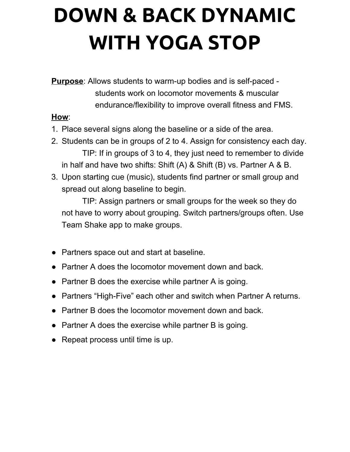## **DOWN & BACK DYNAMIC WITH YOGA STOP**

**Purpose**: Allows students to warm-up bodies and is self-paced students work on locomotor movements & muscular endurance/flexibility to improve overall fitness and FMS.

## **How**:

- 1. Place several signs along the baseline or a side of the area.
- 2. Students can be in groups of 2 to 4. Assign for consistency each day. TIP: If in groups of 3 to 4, they just need to remember to divide in half and have two shifts: Shift (A) & Shift (B) vs. Partner A & B.
- 3. Upon starting cue (music), students find partner or small group and spread out along baseline to begin.

TIP: Assign partners or small groups for the week so they do not have to worry about grouping. Switch partners/groups often. Use Team Shake app to make groups.

- Partners space out and start at baseline.
- Partner A does the locomotor movement down and back.
- Partner B does the exercise while partner A is going.
- Partners "High-Five" each other and switch when Partner A returns.
- Partner B does the locomotor movement down and back.
- Partner A does the exercise while partner B is going.
- Repeat process until time is up.